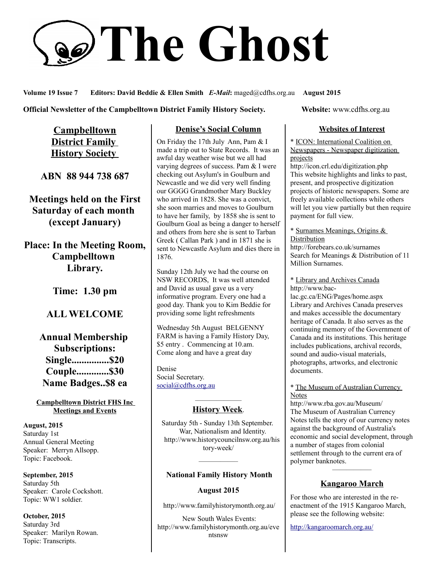# **The Ghost**

**Volume 19 Issue 7 Editors: David Beddie & Ellen Smith** *E-Mail***:** maged@cdfhs.org.au **August 2015**

#### **Official Newsletter of the Campbelltown District Family History Society. Website: www.cdfhs.org.au**

**Campbelltown District Family History Society** 

**ABN 88 944 738 687**

**Meetings held on the First Saturday of each month (except January)**

**Place: In the Meeting Room, Campbelltown Library.**

**Time: 1.30 pm**

## **ALL WELCOME**

# **Annual Membership Subscriptions: Single...............\$20 Couple.............\$30 Name Badges..\$8 ea**

#### **Campbelltown District FHS Inc Meetings and Events**

**August, 2015** Saturday 1st Annual General Meeting Speaker: Merryn Allsopp. Topic: Facebook.

**September, 2015** Saturday 5th Speaker: Carole Cockshott. Topic: WW1 soldier.

**October, 2015** Saturday 3rd Speaker: Marilyn Rowan. Topic: Transcripts.

## **Denise's Social Column**

On Friday the 17th July Ann, Pam & I made a trip out to State Records. It was an awful day weather wise but we all had varying degrees of success. Pam & I were checking out Asylum's in Goulburn and Newcastle and we did very well finding our GGGG Grandmother Mary Buckley who arrived in 1828. She was a convict, she soon marries and moves to Goulburn to have her family, by 1858 she is sent to Goulburn Goal as being a danger to herself and others from here she is sent to Tarban Greek ( Callan Park ) and in 1871 she is sent to Newcastle Asylum and dies there in 1876.

Sunday 12th July we had the course on NSW RECORDS, It was well attended and David as usual gave us a very informative program. Every one had a good day. Thank you to Kim Beddie for providing some light refreshments

Wednesday 5th August BELGENNY FARM is having a Family History Day, \$5 entry . Commencing at 10.am. Come along and have a great day

Denise Social Secretary. [social@cdfhs.org.au](mailto:social@cdfhs.org.au)

#### ——————– **History Week**.

Saturday 5th - Sunday 13th September. War, Nationalism and Identity. http://www.historycouncilnsw.org.au/his tory-week/

# —————–  **National Family History Month**

### **August 2015**

http://www.familyhistorymonth.org.au/

 New South Wales Events: http://www.familyhistorymonth.org.au/eve ntsnsw

#### **Websites of Interest**

\* ICON: International Coalition on Newspapers - Newspaper digitization projects

http://icon.crl.edu/digitization.php This website highlights and links to past, present, and prospective digitization projects of historic newspapers. Some are freely available collections while others will let you view partially but then require payment for full view.

\* Surnames Meanings, Origins & **Distribution** 

http://forebears.co.uk/surnames Search for Meanings & Distribution of 11 Million Surnames.

\* Library and Archives Canada http://www.bac-

lac.gc.ca/ENG/Pages/home.aspx Library and Archives Canada preserves and makes accessible the documentary heritage of Canada. It also serves as the continuing memory of the Government of Canada and its institutions. This heritage includes publications, archival records, sound and audio-visual materials, photographs, artworks, and electronic documents.

#### \* The Museum of Australian Currency Notes

http://www.rba.gov.au/Museum/ The Museum of Australian Currency Notes tells the story of our currency notes against the background of Australia's economic and social development, through a number of stages from colonial settlement through to the current era of polymer banknotes.

# —————– **Kangaroo March**

For those who are interested in the reenactment of the 1915 Kangaroo March, please see the following website:

<http://kangaroomarch.org.au/>